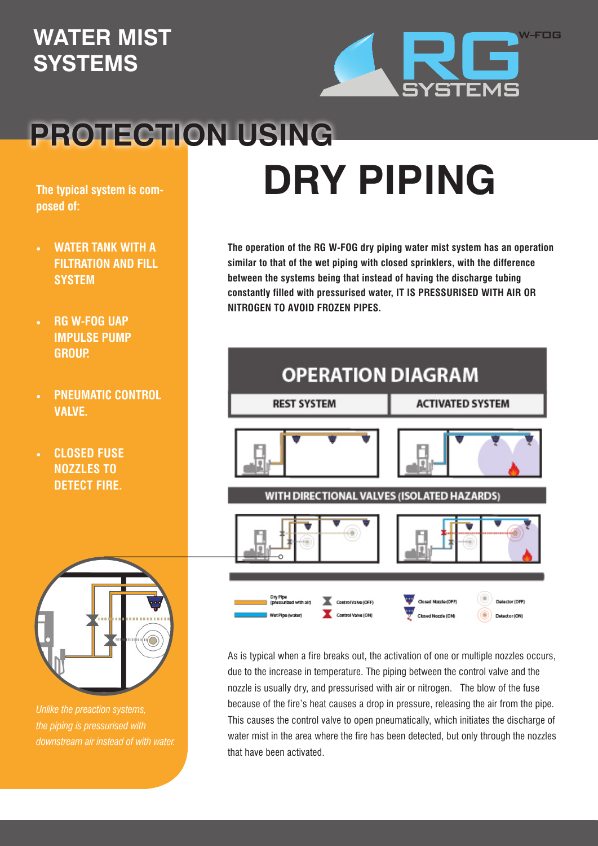## **WATER MIST SYSTEMS**



## **PROTECTION USING**

**The typical system is composed of:** 

- **WATER TANK WITH A FILTRATION AND FILL SYSTEM**
- **RG W-FOG UAP IMPULSE PUMP GROUP.**
- **PNEUMATIC CONTROL VALVE.**
- **• CLOSED FUSE NOZZLES TO DETECT FIRE.**



*Unlike the preaction systems, the piping is pressurised with downstream air instead of with water.*

## **DRY PIPING**

**The operation of the RG W-FOG dry piping water mist system has an operation similar to that of the wet piping with closed sprinklers, with the difference between the systems being that instead of having the discharge tubing constantly filled with pressurised water, IT IS PRESSURISED WITH AIR OR NITROGEN TO AVOID FROZEN PIPES.**



As is typical when a fire breaks out, the activation of one or multiple nozzles occurs, due to the increase in temperature. The piping between the control valve and the nozzle is usually dry, and pressurised with air or nitrogen. The blow of the fuse because of the fire's heat causes a drop in pressure, releasing the air from the pipe. This causes the control valve to open pneumatically, which initiates the discharge of water mist in the area where the fire has been detected, but only through the nozzles that have been activated.